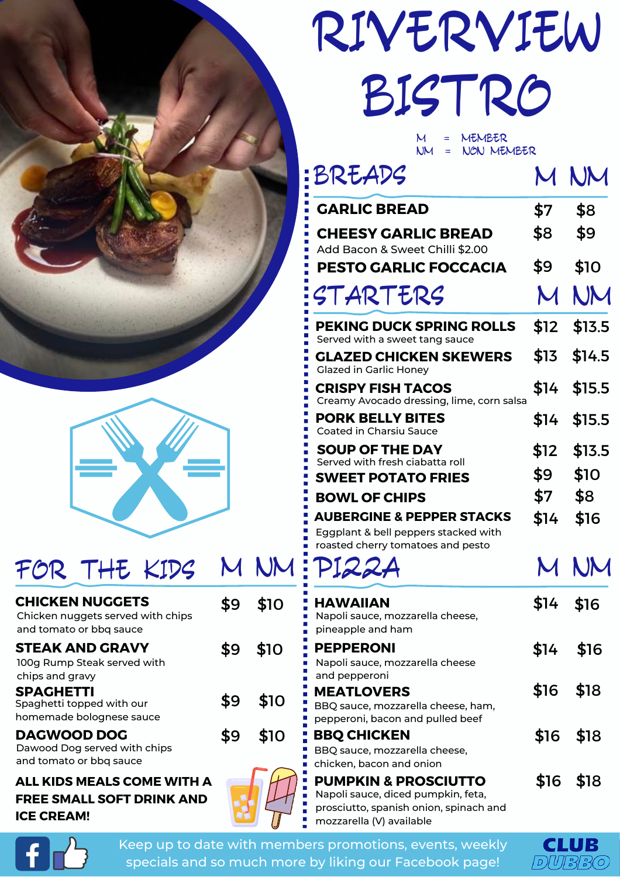



## FOR THE KIDS M NM

| <b>CHICKEN NUGGETS</b><br>Chicken nuggets served with chips<br>and tomato or bbq sauce |     | \$10 |
|----------------------------------------------------------------------------------------|-----|------|
| <b>STEAK AND GRAVY</b><br>100g Rump Steak served with<br>chips and gravy               | \$9 | \$10 |
| <b>SPACHETTI</b><br>Spaghetti topped with our<br>homemade bolognese sauce              | \$9 | \$10 |
| <b>DAGWOOD DOG</b><br>Dawood Dog served with chips<br>and tomato or bbq sauce          |     | \$10 |
| (IDS MEAI S COME WITH                                                                  |     |      |

## **ALL KIDS MEALS COME WITH A FREE SMALL SOFT DRINK AND ICE CREAM!**



## RIVERVIEW BISTRO

M = MEMBER NON MEMBER

| BREADS                                                                   |                           | R IN        |
|--------------------------------------------------------------------------|---------------------------|-------------|
| <b>GARLIC BREAD</b>                                                      | \$7                       | \$8         |
| <b>CHEESY GARLIC BREAD</b><br>Add Bacon & Sweet Chilli \$2.00            | \$8                       | \$9         |
| PESTO GARLIC FOCCACIA                                                    | \$9                       | \$10        |
| STARTERS                                                                 | $\boldsymbol{\mathsf{M}}$ | NM          |
| PEKING DUCK SPRING ROLLS<br>Served with a sweet tang sauce               | \$12                      | \$13.5      |
| <b>GLAZED CHICKEN SKEWERS</b><br><b>Glazed in Garlic Honey</b>           | \$13                      | \$14.5      |
| <b>CRISPY FISH TACOS</b><br>Creamy Avocado dressing, lime, corn salsa    | \$14                      | \$15.5      |
| <b>PORK BELLY BITES</b><br><b>Coated in Charsiu Sauce</b>                |                           | \$14 \$15.5 |
| <b>SOUP OF THE DAY</b><br>Served with fresh ciabatta roll                | \$12                      | \$13.5      |
| <b>SWEET POTATO FRIES</b>                                                | \$9                       | \$10        |
|                                                                          |                           |             |
| <b>BOWL OF CHIPS</b>                                                     | \$7                       | \$8         |
| <b>AUBERGINE &amp; PEPPER STACKS</b>                                     | \$14                      | \$16        |
| Eggplant & bell peppers stacked with                                     |                           |             |
| roasted cherry tomatoes and pesto<br>PI22A                               | $\boldsymbol{\mathsf{M}}$ | NM          |
| <b>HAWAIIAN</b><br>Napoli sauce, mozzarella cheese,<br>pineapple and ham | \$14                      | \$16        |
| <b>PEPPERONI</b><br>Napoli sauce, mozzarella cheese                      |                           | \$14 \$16   |
| and pepperoni<br><b>MEATLOVERS</b><br>BBQ sauce, mozzarella cheese, ham, |                           | \$16 \$18   |
| pepperoni, bacon and pulled beef<br><b>BBQ CHICKEN</b>                   |                           | \$16 \$18   |
| BBQ sauce, mozzarella cheese,<br>chicken, bacon and onion                |                           | \$16 \$18   |



Keep up to date with members promotions, events, weekly specials and so much more by liking our Facebook page!